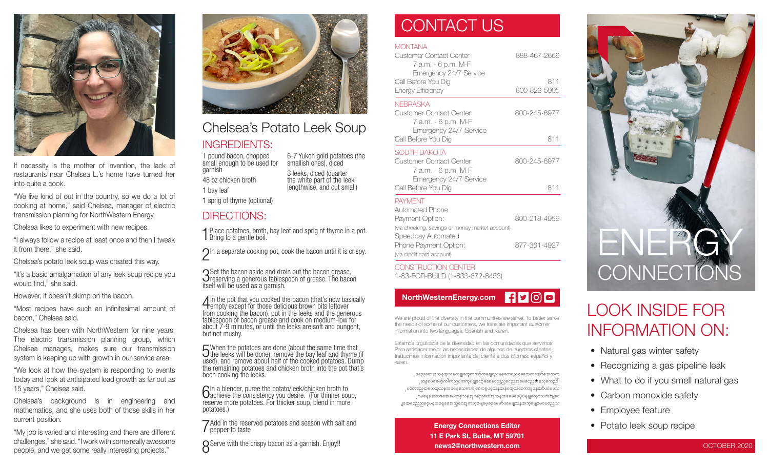

If necessity is the mother of invention, the lack of restaurants near Chelsea L.'s home have turned her into quite a cook.

"We live kind of out in the country, so we do a lot of cooking at home," said Chelsea, manager of electric transmission planning for NorthWestern Energy.

Chelsea likes to experiment with new recipes.

"I always follow a recipe at least once and then I tweak it from there," she said.

Chelsea's potato leek soup was created this way.

"It's a basic amalgamation of any leek soup recipe you would find," she said.

However, it doesn't skimp on the bacon.

"Most recipes have such an infinitesimal amount of bacon," Chelsea said.

Chelsea has been with NorthWestern for nine years. The electric transmission planning group, which Chelsea manages, makes sure our transmission system is keeping up with growth in our service area.

"We look at how the system is responding to events today and look at anticipated load growth as far out as 15 years," Chelsea said.

Chelsea's background is in engineering and mathematics, and she uses both of those skills in her current position.

"My job is varied and interesting and there are different challenges," she said. "I work with some really awesome people, and we get some really interesting projects."



### Chelsea's Potato Leek Soup

6-7 Yukon gold potatoes (the smallish ones), diced 3 leeks, diced (quarter the white part of the leek lengthwise, and cut small)

#### INGREDIENTS:

1 pound bacon, chopped small enough to be used for garnish 48 oz chicken broth

1 bay leaf

1 sprig of thyme (optional)

#### DIRECTIONS:

1 Place potatoes, broth, bay leaf and sprig of thyme in a pot. **I** Bring to a gentle boil.

 $\bigcap$ In a separate cooking pot, cook the bacon until it is crispy.

Set the bacon aside and drain out the bacon grease,<br>Since a generous tablespoon of grease. The bacd<br>itself will be used as a garnish.  $\overline{O}$ reserving a generous tablespoon of grease. The bacon

4 In the pot that you cooked the bacon (that's now basically empty except for those delicious brown bits leftover from cooking the bacon), put in the leeks and the generous tablespoon of bacon grease and cook on medium-low for about 7-9 minutes, or until the leeks are soft and pungent, but not mushy.

5 When the potatoes are done (about the same time that the leeks will be done), remove the bay leaf and thyme (if used), and remove about half of the cooked potatoes. Dump the remaining potatoes and chicken broth into the pot that's been cooking the leeks.

6In a blender, puree the potato/leek/chicken broth to achieve the consistency you desire. (For thinner soup, reserve more potatoes. For thicker soup, blend in more potatoes.)

7 Add in the reserved potatoes and season with salt and pepper to taste

**O** Serve with the crispy bacon as a garnish. Enjoy!!

### CONTACT US

#### **MONTANA**

| Customer Contact Center<br>7 а.т. - 6 p.m. M-F<br>Emergency 24/7 Service<br>Call Before You Dig<br>Energy Efficiency | 888-467-2669<br>811<br>800-823-5995 |
|----------------------------------------------------------------------------------------------------------------------|-------------------------------------|
|                                                                                                                      |                                     |
| Emergency 24/7 Service<br>Call Before You Dig                                                                        | 811                                 |
| SOUTH DAKOTA<br>Customer Contact Center<br>7 а.т. - 6 p.m. М-F                                                       | 800-245-6977                        |
| Emergency 24/7 Service<br>Call Before You Dig                                                                        | 811                                 |
| <b>PAYMENT</b><br>Automated Phone<br>Payment Option:                                                                 | 800-218-4959                        |
| (via checking, savings or money market account)<br>Speedpay Automated                                                |                                     |
| Phone Payment Option:                                                                                                | 877-361-4927                        |

CONSTRUCTION CENTER 1-83-FOR-BUILD (1-833-672-8453)

(via credit card account)



We are proud of the diversity in the communities we serve. To better serve the needs of some of our customers, we translate important customer information into two languages: Spanish and Karen.

Estamos orgullosos de la diversidad en las comunidades que servimos. Para satisfacer mejor las necesidades de algunos de nuestros clientes, traducimos información importante del cliente a dos idiomas: español y karen.

ုပညေတေအူသနအသနတဓူုတှေကကာ့်ကရေုငညနထေောငညနထေောတအော်အောကက ုတနှစပမေမာ့်ကါကညပကကုပရျငော့်ခစေနှငညည့္ေညအှမေငေည $\bigstar$ စသုကေညါါ ုပတေညေအတေအ့သနအမနေစသကအျငေအဝူပခဲ့သနအနအေ့သရေကအူပနအာ်ပမေမှသ ့စပနေနအတတေောစပက္စစ္သာနအုပညေတေအ့သနအဓေမပေပုပနန္ျတေ့စသကအျငေ ျအေငေညညငွေပနအနေ့ခေအည့်ငွေအကဘုမျေမေ့ခနမေမှာ်ပမေမျှသနအဘုမျေမေစပညျေသ

> Energy Connections Editor 11 E Park St, Butte, MT 59701 news2@northwestern.com



### LOOK INSIDE FOR INFORMATION ON:

- Natural gas winter safety
- Recognizing a gas pipeline leak
- What to do if you smell natural gas
- Carbon monoxide safety
- Employee feature
- Potato leek soup recipe